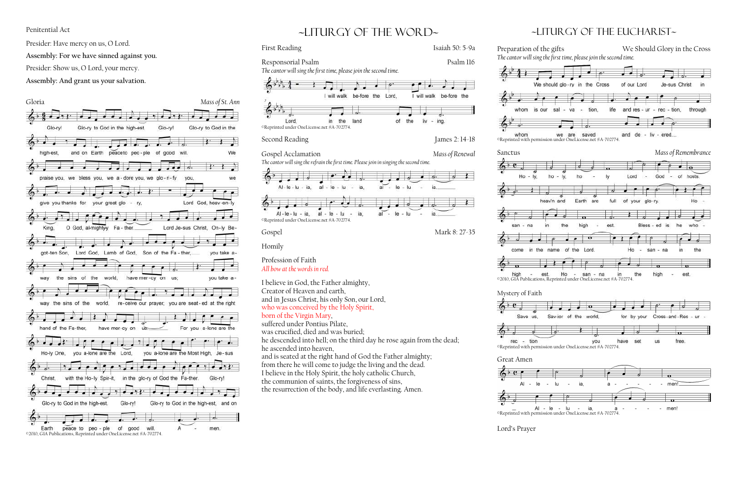## Penitential Act

Presider: Have mercy on us, O Lord.

**Assembly: For we have sinned against you.**

Presider: Show us, O Lord, your mercy.

**Assembly: And grant us your salvation.**



# ~liturgy of the word~

First Reading Isaiah 50: 5-9a

Responsorial Psalm Psalm Psalm 116

*The cantor will sing the first time, please join the second time.*



Gospel Acclamation *Mass of Renewal*

*The cantor will sing the refrain the first time. Please join in singing the second time.*

 $\cdot$  . .

- lu

lu

 $al - le$ 

al

Second Reading James 2: 14-18

 $Al - le - lu - ia$ .

©Reprinted under OneLicense.net #A-702774.

- ia.

Homily

 $6^{\circ}$ 

Profession of Faith *All bow at the words in red.*

 $Al - le - lu$ 

I believe in God, the Father almighty,

Creator of Heaven and earth,

and in Jesus Christ, his only Son, our Lord, who was conceived by the Holy Spirit,

born of the Virgin Mary, suffered under Pontius Pilate, was crucified, died and was buried;

he descended into hell; on the third day he rose again from the dead;

he ascended into heaven,

 $\bullet$   $\bullet$ 

21

- lu

 $a^{\prime}$ .

 $6 - e$ Ho san

Gospel Mark 8: 27-35

 $\frac{1}{2}$ 

come

 $\frac{1}{2}$ high

and is seated at the right hand of God the Father almighty; from there he will come to judge the living and the dead. I believe in the Holy Spirit, the holy catholic Church, the communion of saints, the forgiveness of sins,

the resurrection of the body, and life everlasting. Amen.

## ~Liturgy of the Eucharist~



### Mystery of Faith

 $60c$ Save us.

 $\leftarrow$ 

 $rec$ tion

Great Amen

 $AI$ 



Lord's Prayer

 $6^{3}11$ 

whom

whom